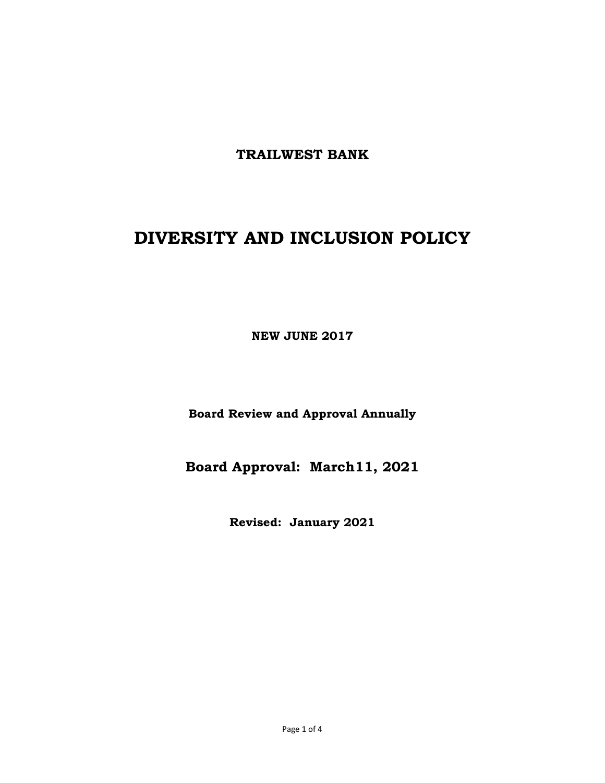**TRAILWEST BANK** 

# **DIVERSITY AND INCLUSION POLICY**

**NEW JUNE 2017** 

**Board Review and Approval Annually** 

**Board Approval: March11, 2021** 

**Revised: January 2021**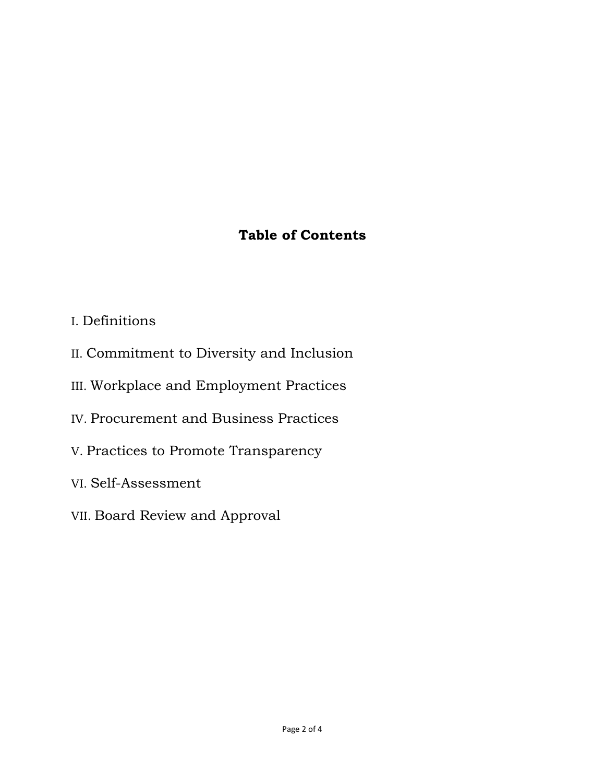# **Table of Contents**

- I. Definitions
- II. Commitment to Diversity and Inclusion
- III. Workplace and Employment Practices
- IV. Procurement and Business Practices
- V. Practices to Promote Transparency
- VI. Self-Assessment
- VII. Board Review and Approval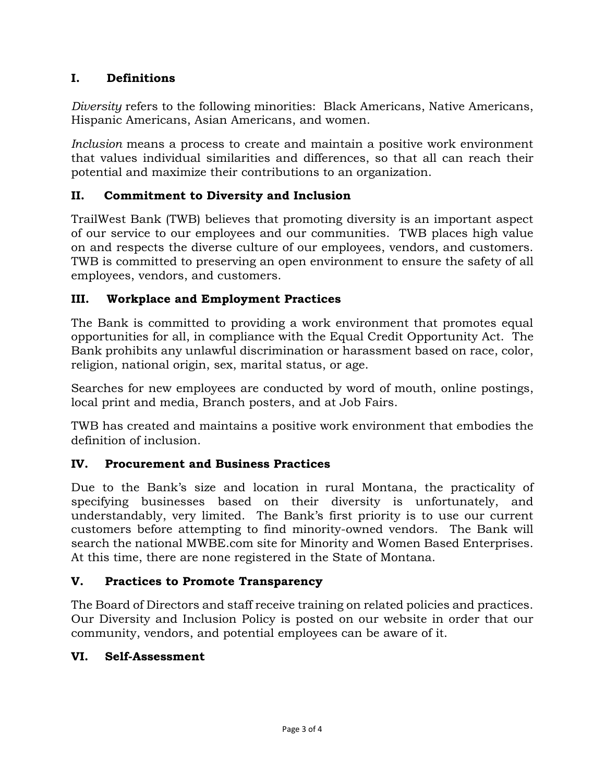# **I. Definitions**

*Diversity* refers to the following minorities: Black Americans, Native Americans, Hispanic Americans, Asian Americans, and women.

*Inclusion* means a process to create and maintain a positive work environment that values individual similarities and differences, so that all can reach their potential and maximize their contributions to an organization.

# **II. Commitment to Diversity and Inclusion**

TrailWest Bank (TWB) believes that promoting diversity is an important aspect of our service to our employees and our communities. TWB places high value on and respects the diverse culture of our employees, vendors, and customers. TWB is committed to preserving an open environment to ensure the safety of all employees, vendors, and customers.

# **III. Workplace and Employment Practices**

The Bank is committed to providing a work environment that promotes equal opportunities for all, in compliance with the Equal Credit Opportunity Act. The Bank prohibits any unlawful discrimination or harassment based on race, color, religion, national origin, sex, marital status, or age.

Searches for new employees are conducted by word of mouth, online postings, local print and media, Branch posters, and at Job Fairs.

TWB has created and maintains a positive work environment that embodies the definition of inclusion.

#### **IV. Procurement and Business Practices**

Due to the Bank's size and location in rural Montana, the practicality of specifying businesses based on their diversity is unfortunately, and understandably, very limited. The Bank's first priority is to use our current customers before attempting to find minority-owned vendors. The Bank will search the national MWBE.com site for Minority and Women Based Enterprises. At this time, there are none registered in the State of Montana.

#### **V. Practices to Promote Transparency**

The Board of Directors and staff receive training on related policies and practices. Our Diversity and Inclusion Policy is posted on our website in order that our community, vendors, and potential employees can be aware of it.

#### **VI. Self-Assessment**